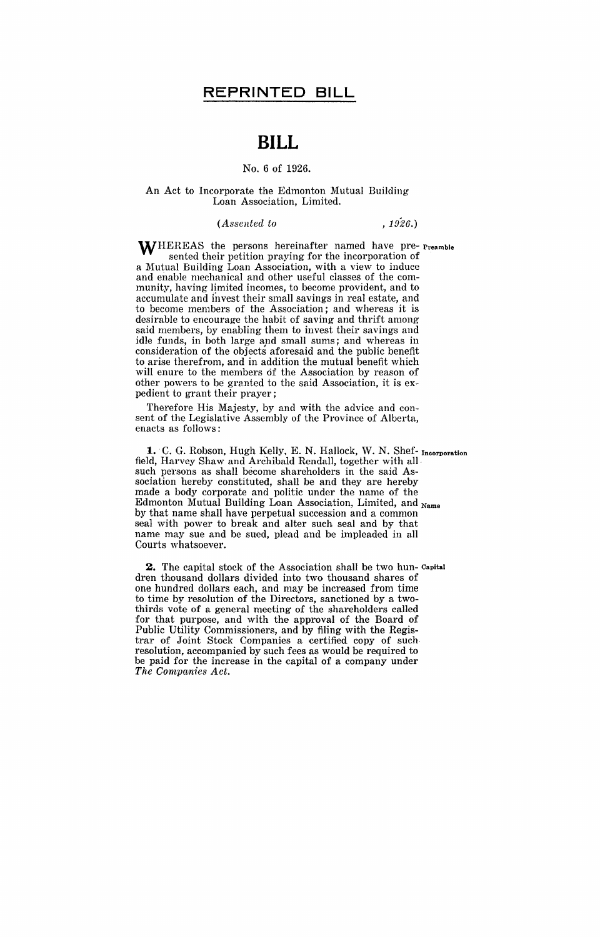# **BILL**

### No.6 of 1926.

#### An Act to Incorporate the Edmonton Mutual Building Loan Association, Limited.

#### *(Assented to* , 1926.)

WHEREAS the persons hereinafter named have pre- Preamble sented their petition praying for the incorporation of a Mutual Building Loan Association, with a view to induce and enable mechanical and other useful classes of the community, having limited incomes, to become provident, and to accumulate and invest their small savings in real estate, and to become members of the Association; and whereas it is desirable to encourage the habit of saving and thrift among said members, by enabling them to invest their savings and idle funds, in both large and small sums; and whereas in consideration of the objects aforesaid and the public benefit to arise therefrom, and in addition the mutual benefit which will enure to the members of the Association by reason of other powers to be granted to the said Association, it is expedient to grant their prayer;

Therefore His Majesty, by and with the advice and consent of the Legislative Assembly of the Province of Alberta, enacts as follows:

**1.** C. G. Robson, Hugh Kelly. E. N. Hallock, W. N. Shef- Incorporation field, Harvey Shaw and Archibald Rendall, together with all, such persons as shall become shareholders in the said Association hereby constituted, shall be and they are hereby made a body corporate and politic under the name of the Edmonton Mutual Building Loan Association, Limited, and Name by that name shall have perpetual succession and a common seal with power to break and alter such seal and by that name may sue and be sued, plead and be impleaded in all Courts whatsoever.

**2.** The capital stock of the Association shall be two hun- Capital dren thousand dollars divided into two thousand shares of one hundred dollars each, and may be increased from time to time by resolution of the Directors, sanctioned by a twothirds vote of a general meeting of the shareholders called for that purpose, and with the approval of the Board of Public Utility Commissioners, and by filing with the Registrar of Joint Stock Companies a certified copy of such, resolution, accompanied by such fees as would be required to be paid for the increase in the capital of a company under *The Companies Act.*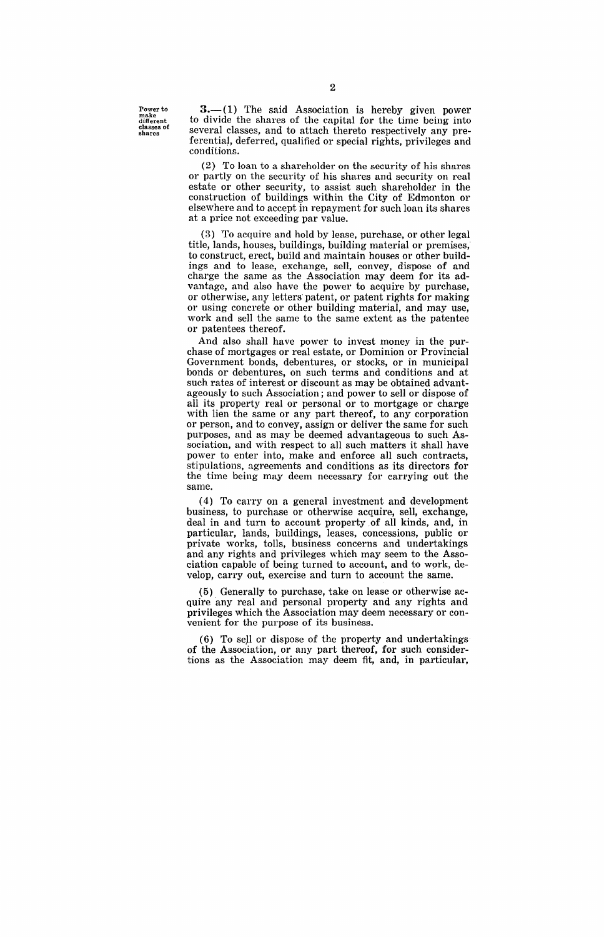Power to make different classes of shares

 $3-1$ ) The said Association is hereby given power to divide the shares of the capital for the time being into several classes, and to attach thereto respectively any preferential, deferred, qualified or special rights, privileges and conditions.

(2) To loan to a shareholder on the security of his shares or partly on the security of his shares and security on real estate or other security, to assist such shareholder in the construction of buildings within the City of Edmonton or elsewhere and to accept in repayment for such loan its shares at a price not exceeding par value.

(3) To acquire and hold by lease, purchase, or other legal title, lands, houses, buildings, building material or premises; to construct, erect, build and maintain houses or other buildings and to lease, exchange, sell, convey, dispose of and charge the same as the Association may deem for its advantage, and also have the power to acquire by purchase, or otherwise, any letters' patent, or patent rights for making or using concrete or other building material, and may use, work and sell the same to the same extent as the patentee or patentees thereof.

And also shall have power to invest money in the purchase of mortgages or real estate, or Dominion or Provincial Government bonds, debentures, or stocks, or in municipal bonds or debentures, on such terms and conditions and at such rates of interest or discount as may be obtained advantageously to such Association; and power to sell or dispose of all its property real or personal or to mortgage or charge with lien the same or any part thereof, to any corporation or person, and to convey, assign or deliver the same for such purposes, and as may be deemed advantageous to such Association, and with respect to all such matters it shall have power to enter into, make and enforce all such contracts, stipulations, agreements and conditions as its directors for the time being may deem necessary for carrying out the same.

(4) To carryon a general investment and development business, to purchase or otherwise acquire, sell, exchange, deal in and turn to account property of all kinds, and, in particular, lands, buildings, leases, concessions, public or private works, tolls, business concerns and undertakings and any rights and privileges which may seem to the Association capable of being turned to account, and to wprk, develop, carry out, exercise and turn to account the same.

(5) Generally to purchase, take on lease or otherwise acquire any real and personal property and any rights and privileges which the Association may deem necessary or convenient for the purpose of its business.

(6) To seJI or dispose of the property and undertakings· of the Association, or any part thereof, for such considertions as the Association may deem fit, and, in particular,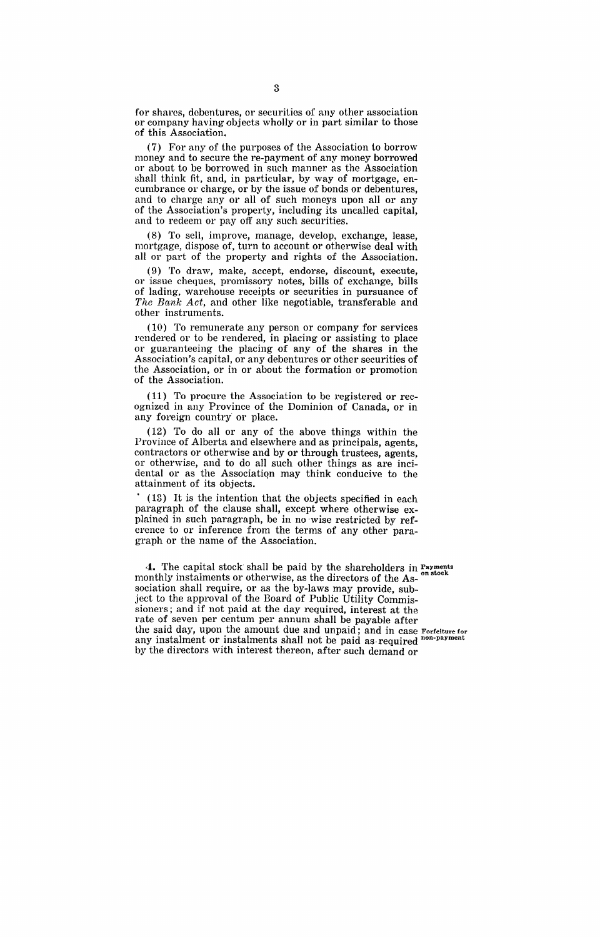for shares, debentures, or securities of any other association or company having objects wholly or in part similar to those of this Association.

(7) For any of the purposes of the Association to borrow money and to secure the re-payment of any money borrowed or about to be borrowed in such manner as the Association shall think fit, and, in particular, by way of mortgage, encumbrance 01' charge, or by the issue of bonds or debentures, and to charge any or all of such moneys upon all or any of the Association's property, including its uncalled capital, and to redeem or payoff any such securities.

(8) To sell, improve, manage, develop, exchange, lease, mortgage, dispose of, turn to account or otherwise deal with all or part of the property and rights of the Association.

(9) To draw, make, accept, endorse, discount, execute, or issue cheques, promissory notes, bills of exchange, bills of lading, warehouse receipts or securities in pursuance of *The Bank Act,* and other like negotiable, transferable and other instruments.

(10) To remunerate any person or company for services rendered or to be rendered, in placing or assisting to place or guaranteeing the placing of any of the shares in the Association's capital, or any debentures or other securities of the Association, or in or about the formation or promotion of the Association.

(11) To procure the Association to be registered or recognized in any Province of the Dominion of Canada, or in any foreign country or place.

(12) To do all or any of the above things within the Province of Alberta and elsewhere and as principals, agents, contractors or otherwise and by or through trustees, agents, or otherwise, and to do all such other things as are incidental or as the Associatiqn may think conducive to the attainment of its objects.

. (13) It is the intention that the objects specified in each paragraph of the clause shall, except where otherwise explained in such paragraph, be in no 'wise restricted by reference to or inference from the terms of any other paragraph or the name of the Association.

**4.** The capital stock shall be paid by the shareholders in Payments monthly instalments or otherwise, as the directors of the Association shall require, or as the by-laws may provide, subject to the approval of the Board of Public Utility Commissioners; and if not paid at the day required, interest at the rate of seven per centum per annum shall be payable after the said day, upon the amount due and unpaid; and in case Forfeiture for any instalment or instalments shall not be paid as required non-payment by the directors with interest thereon, after such demand or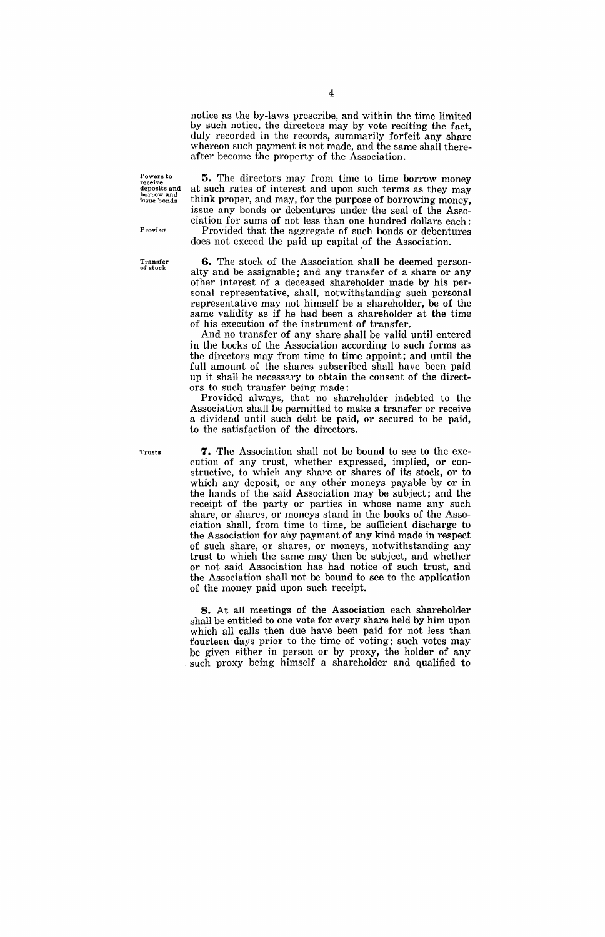notice as the by-laws prescribe. and within the time limited by such notice, the directors may by vote reciting the fact, duly recorded in the records, summarily forfeit any share whereon such payment is not made, and the same shall thereafter become the property of the Association.

Powers to **receive**  . deposits and borrow and **issue bonds** 

**5.** The directors may from time to time borrow money at such rates of interest and upon such terms as they may think proper, and may, for the purpose of borrowing money, issue any bonds or debentures under the seal of the Association for sums of not less than one hundred dollars each:

Provided that the aggregate of such bonds or debentures does not exceed the paid up capital of the Association.

**G.** The stock of the Association shall be deemed personalty and be assignable; and any transfer of a share or any other interest of a deceased shareholder made by his personal representative, shall, notwithstanding such personal representative may not himself be a shareholder, be of the same validity as if he had been a shareholder at the time of his execution of the instrument of transfer.

And no transfer of any share shall be valid until entered in the books of the Association according to such forms as the directors may from time to time appoint; and until the full amount of the shares subscribed shall have been paid up it shall be necessary to obtain the consent of the directors to such transfer being made:

Provided always, that no shareholder indebted to the Association shall be permitted to make a transfer or receive a dividend until such debt be paid, or secured to be paid, to the satisfaction of the directors.

**7.** The Association shall not be bound to see to the execution of any trust, whether expressed, implied, or constructive, to which any share or shares of its stock, or to which any deposit, or any other moneys payable by or in the hands of the said Association may be subject; and the receipt of the party or parties in whose name any such share, or shares, or moneys stand in the books of the Association shall, from time to time, be sufficient discharge to the Association for any payment of any kind made in respect of such share, or shares, or moneys, notwithstanding any trust to which the same may then be subject, and whether or not said Association has had notice of such trust, and the Association shall not be bound to see to the application of the money paid upon such receipt.

**8.** At all meetings of the Association each shareholder shall be entitled to one vote for every share held by him upon which all calls then due have been paid for not less than fourteen days prior to the time of voting; such votes may be given either in person or by proxy, the holder of any such proxy being himself a shareholder and qualified to

**Transfer**  of stock

Proviso

Trusts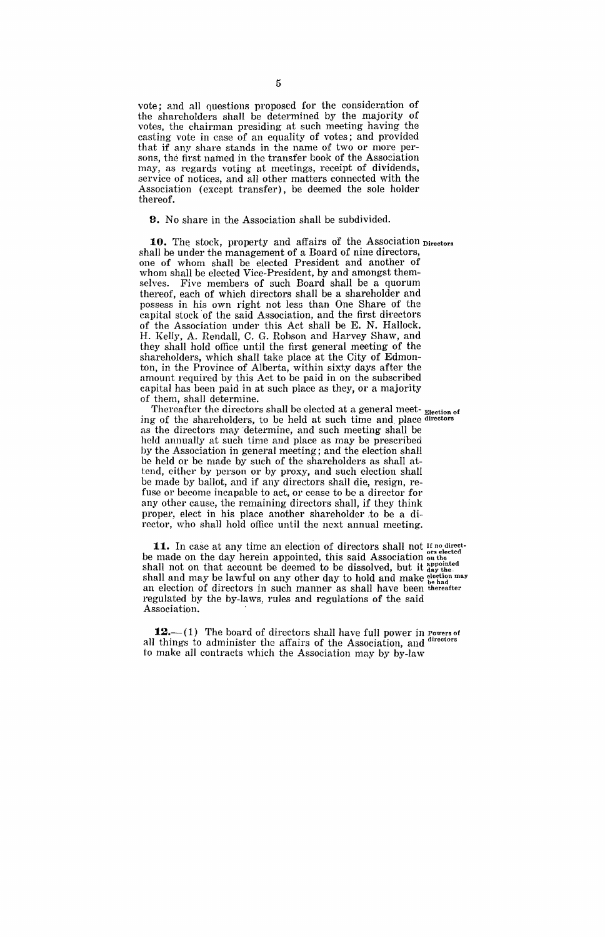vote; and all questions proposed for the consideration of the shareholders shall be determined by the majority of votes, the chairman presiding at such meeting having the casting vote in case of an equality of votes; and provided that if any share stands in the name of two or more persons, the first named in the transfer book of the Association may, as regards voting at meetings, receipt of dividends, service of notices, and all other matters connected with the Association (except transfer), be deemed the sole holder thereof.

9. No share in the Association shall be subdivided.

**10.** The stock, property and affairs of the Association Directors shall be under the management of a Board of nine directors, one of whom shall be elected President and another of whom shall be elected Vice-President, by and amongst themselves. Five members of such Board shall be a quorum thereof, each of which directors shall be a shareholder and possess in his own right not less than One Share of the capital stock of the said Association, and the first directors of the Association under this Act shall be E. N. Hallock. H. Kelly, A. Rendall, C. G. Robson and Harvey Shaw, and they shall hold office until the first general meeting of the shareholders, which shall take place at the City of Edmonton, in the Province of Alberta, within sixty days after the amount required by this Act to be paid in on the subscribed capital has been paid in at such place as they, or a majority of them, shall determine.

Thereafter the directors shall be elected at a general meet- Election of ing of the shareholders, to be held at such time and. place directors as the directors may determine, and such meeting shall be held annually at such time and place as may be prescribed by the Association in general meeting; and the election shall be held or be made by such of the shareholders as shall attend, either by person or by proxy, and such election shall be made by ballot, and if any directors shall die, resign, refuse or become incapable to act, or cease to be a director for any other cause, the remaining directors shall, if they think proper, elect in his place another shareholder to be a director, who shall hold office until the next annual meeting.

**11.** In case at any time an election of directors shall not If no directbe made on the day herein appointed, this said Association  $_{\text{on the}}^{\text{or selected}}$ shall not on that account be deemed to be dissolved, but it  $_{\text{day the}}^{\text{appointed}}$ shall and may be lawful on any other day to hold and make  $_{\rm{he~had}}^{\rm{electron~may}}$ an election of directors in such manner as shall have been thereafter regulated by the by-laws, rules and regulations of the said Association. .

**12.**—(1) The board of directors shall have full power in Powers of  $\frac{1}{2}$  directors all things to administer the affairs of the Association, and to make all contracts which the Association may by by-law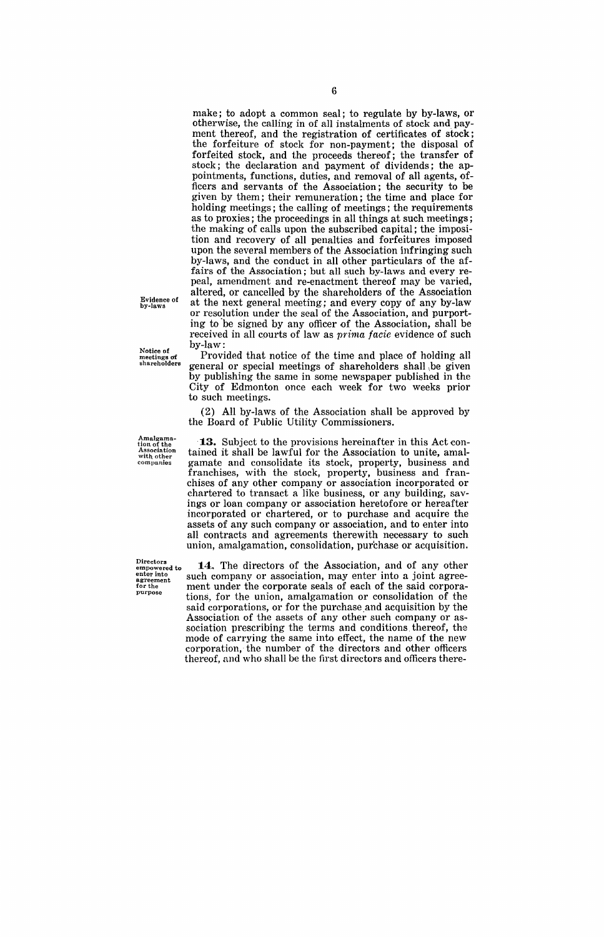make; to adopt a common seal; to regulate by by-laws, or otherwise, the calling in of all instalments of stock and payment thereof, and the registration of certificates of stock; the forfeiture of stock for non-payment; the disposal of forfeited stock, and the proceeds thereof; the transfer of stock; the declaration and payment of dividends; the appointments, functions, duties, and removal of all agents, officers and servants of the Association; the security to be given by them; their remuneration; the time and place for holding meetings; the calling of meetings; the requirements as to proxies; the proceedings in all things at such meetings; the making of calls upon the subscribed capital; the imposition and recovery of all penalties and forfeitures imposed upon the several members of the Association infringing such by-laws, and the conduct in all other particulars of the affairs of the Association; but all such by-laws and every repeal, amendment and re-enactment thereof may be varied, altered, or cancelled by the shareholders of the Association at the next general meeting; and every copy of any by-law or resolution under the seal of the Association, and purporting to 'be signed by any officer of the Association, shall be received in all courts of law as *prima facie* evidence of such by-law: Provided that notice of the time and place of holding all

general or special meetings of shareholders shall ,be given by publishing the same in some newspaper published in the City of Edmonton once each week for two weeks prior

(2) All by-laws of the Association shall be approved by

Evidence of by-laws

Notice of meetings of<br>shareholders

to such meetings.

Amalgama-tion of the **Associa tion**  with. other **companies**  the Board of Public Utility Commissioners. **13.** Subject to the provisions hereinafter in this Act contained it shall be lawful for the Association to unite, amalgamate and consolidate its stock, property, business and franchises, with the stock, property, business and franchises of any other company or association incorporated or chartered to transact a like business, or any building, savings or loan company or association heretofore or hereafter incorporated or chartered, or to purchase and acquire the assets of any such company or association, and to enter into

Directors<br>  $~^{\text{empowers}}_{\text{empower into}}$  to 14. The directors of the Association, and of any other<br>  $~^{\text{enter into}}_{\text{agreement}}$  such company or association, may enter into a joint agree-<br>  $~^{\text{for the}}$  ment under the corporate seals of each of t such company or association, may enter into a joint agreefor the ment under the corporate seals of each of the said corpora-<br>
purpose tiong for the union employmetion or consolidation of the tions, for the union, amalgamation or consolidation of the said corporations, or for the purchase and acquisition by the Association of the assets of any other such company or association prescribing the terms and conditions. thereof, the mode of carrying the same into effect, the name of the new corporation,' the number of the directors and other officers thereof, and who shall be the first directors and officers there-

all contracts and agreements therewith necessary to such union, amalgamation, consolidation, purchase or acquisition.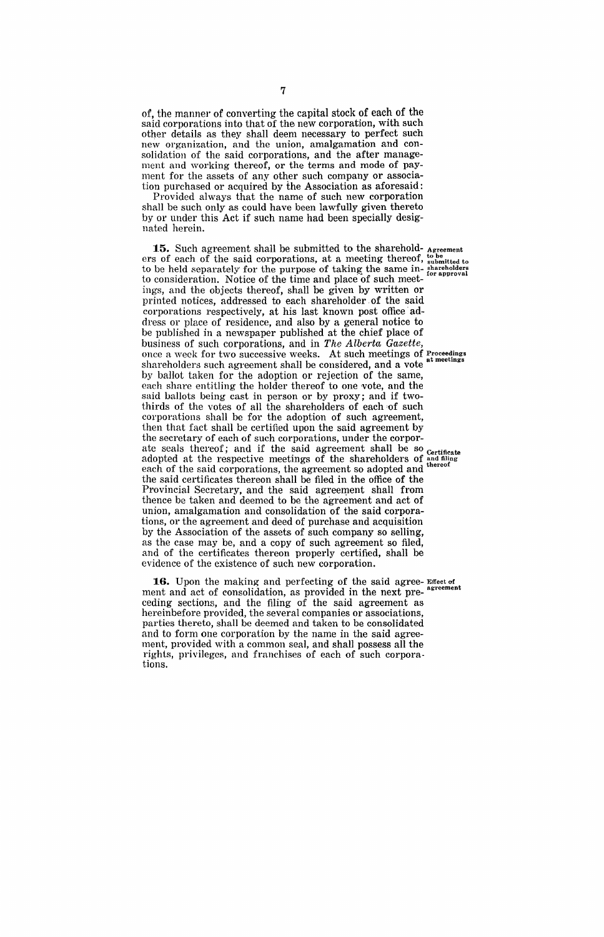of, the manner of converting the capital stock of each of the said corporations into that of the new corporation, with such other details as they shall deem necessary to perfect such new organization, and the union, amalgamation and consolidation of the said corporations, and the after management and working thereof, or the terms and mode of payment for the assets of any other such company or association purchased or acquired by the Association as aforesaid:

Provided always that the name of such new corporation shall be such only as could have been lawfully given thereto by or under this Act if such name had been specially designated herein.

**15.** Such agreement shall be submitted to the sharehold- Agreement ers of each of the said corporations, at a meeting thereof,  $_{\text{submitted to}}^{\text{to be}}$ to be held separately for the purpose of taking the same in-shareholders to consideration. Notice of the time and place of such meetiugs, and the objects thereof, shall be given by written or printed notices, addressed to each shareholder of the said corporations respectively, at his last known post office' address or place of residence, and also by a general notice to be published in a newspaper published at the chief place of business of such corporations, and in *The' Alberta Gazette,*  once a week for two successive weeks. At such meetings of Proceedings shareholders such agreement shall be considered, and a vote at meetings by ballot taken for the adoption or rejection of the same, each share entitling the holder thereof to one vote, and the said ballots being cast in person or by proxy; and if twothirds of the votes of all the shareholders of each of such corporations shall be for the adoption of such agreement, then that fact shall be certified upon the said agreement by the secretary of each of such corporations, under the corporate seals thereof; and if the said agreement shall be so certificate<br>adopted at the respective meetings of the shareholders of and filing ate sears thereor, and it are zero. The shareholders of and filling and thereor each of the said corporations, the agreement so adopted and the said certificates thereon shall be filed in the office of the Provincial Secretary, and the said agreement shall from thence be taken and deemed to be the agreement and act of union, amalgamation and consolidation of the said corporations, or the agreement and deed of purchase and acquisition by the Association of the assets of such company so selling, as the case may be, and a copy of such agreement so filed, and of the certificates thereon properly certified, shall be evidence of the existence of such new corporation.

**16.** Upon the making and perfecting of the said agree- Effect of ment and act of consolidation, as provided in the next preceding sections, and the filing of the said agreement as hereinbefore provided, the several companies or associations, parties thereto, shall be deemed and taken to be consolidated and to form one corporation by the name in the said agreement, provided with a common seal, and shall possess all the rights, privileges, and franchises of each of such corporations.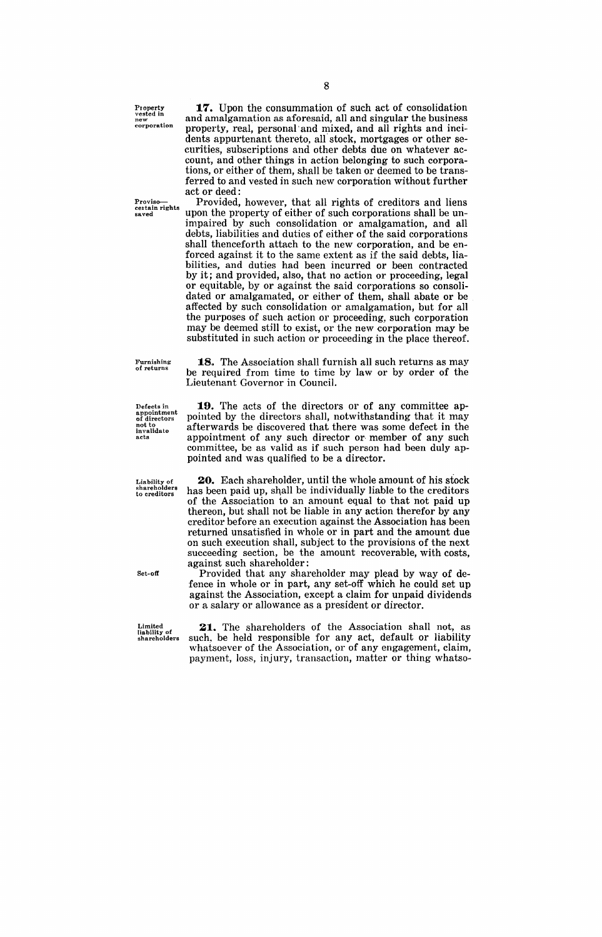Property vested in new **corporation** 

Proviso—<br>certain rights<br>saved

**17.** Upon the consummation of such act of consolidation and amalgamation as aforesaid, all and singular the business property, real, personal' and mixed, and all rights and incidents appurtenant thereto, all stock, mortgages or other securities, subscriptions and other debts due on whatever account, and other things in action belonging to such corporations, or either of them, shall be taken or deemed to be transferred to and vested in such new corporation without further act or deed:

Provided, however, that all rights of creditors and liens upon the property of either of such corporations shall be unimpaired by such consolidation or amalgamation, and all debts, liabilities and duties of either of the said corporations shall thenceforth attach to the new corporation, and be enforced against it to the same extent as if the said debts, liabilities, and duties had been incurred or been contracted by it; and provided, also, that no action or proceeding, legal or equitable, by or against the said corporations so consolidated or amalgamated, or either of them, shall abate or be affected by such consolidation or amalgamation, but for all the purposes of such action or proceeding, such corporation may be deemed still to exist, or the new corporation may be substituted in such action or proceeding in the place thereof.

**18.** The Association shall furnish all such returns as may be required from time to time by law or by order of the

19. The acts of the directors or of any committee appointed by the directors shall, notwithstanding that it may afterwards be discovered that there was some defect in the appointment of any such director or member of any such committee, be as valid as if such person had been duly ap-

Lieutenant Governor in Council.

pointed and was qualified to be a director.

Furnishing **of returns** 

Defects in appointment of directors not to **invalidate acts** 

Liability of shareholders to creditors

**20.** Each shareholder, until the whole amount of his stock has been paid up, shall be individually liable to the creditors of the Association to an amount equal to that not paid up thereon, but shall not be liable in any action therefor by any creditor before an execution against the Association has been returned unsatisfied in whole or in part and the amount due on such execution shall, subject to the provisions of the next succeeding section, be the amount recoverable, with costs, against such shareholder:

Provided that any shareholder may plead by way of defence in whole or in part, any set-off which he could set up against the Association, except a claim for unpaid dividends or a salary or allowance as a president or director.

Limited liability of shareholders

Set-off

**21..** The shareholders of the Association shall not, as such, be held responsible for any act, default or liability whatsoever of the Association, or of any engagement, claim, payment, loss, injury, transaction, matter or thing whatso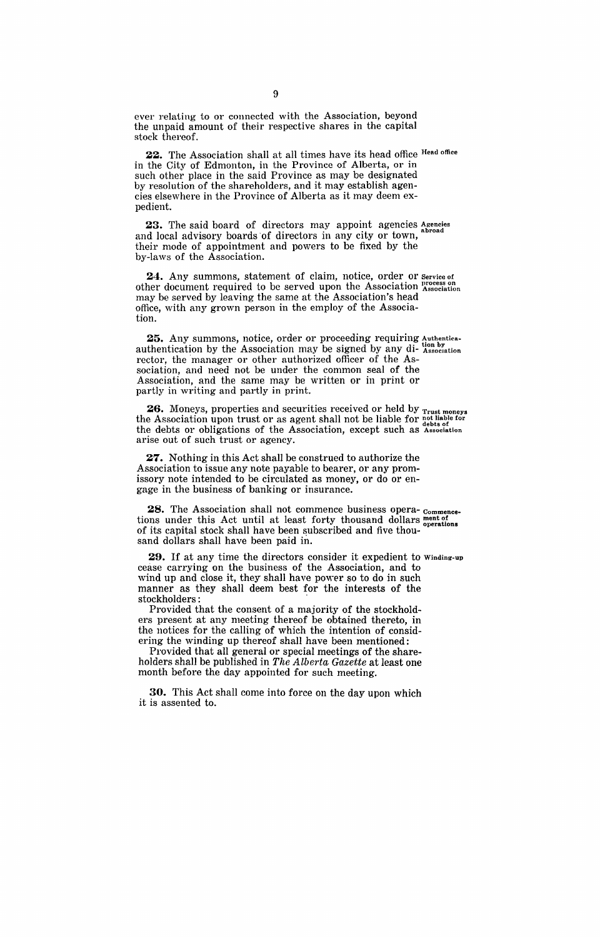ever relating to or connected with the Association, beyond the unpaid amount of their respective shares in the capital stock thereof.

22. The Association shall at all times have its head office Head office in the City of Edmonton, in the Province of Alberta, or in such other place in the said Province as may be designated by resolution of the shareholders, and it may establish agencies elsewhere in the Province of Alberta as it may deem expedient.

23. The said board of directors may appoint agencies Agencies and local advisory boards of directors in any city or town, their mode of appointment and powers to be fixed by the by-laws of the Association.

24. Any summons, statement of claim, notice, order or service of other document required to be served upon the Association Association may be served by leaving the same at the Association's head office, with any grown person in the employ of the Association.

25. Any summons, notice, order or proceeding requiring Authenticaauthentication by the Association may be signed by any di-  $_{\text{Association}}^{\text{top}}$  rector, the manager or other authorized officer of the Association, and need not be under the common seal of the Association, and the same may be written or in print or partly in writing and partly in print.

**26.** Moneys, properties and securities received or held by Trust moneys the Association upon trust or as agent shall not be liable for  $_{\text{debts of}}^{\text{not liable for}}$ the debts or obligations of the Association, except such as Association arise out of such trust or agency.

**27.** Nothing in this Act shall be construed to authorize the Association to issue any note payable to bearer, or any promissory note intended to be circulated as money, or do or engage in the business of banking or insurance.

**28.** The Association shall not commence business opera-commencetions under this Act until at least forty thousand dollars ment of operations of its capital stock shall have been subscribed and five thousand dollars shall have been paid in.

**29.** If at any time the directors consider it expedient to Winding-up cease carrying on the business of the Association, and to wind up and close it, they shall have power so to do in such manner as they shall deem best for the interests of the stockholders:

Provided that the consent of a majority of the stockholders present at any meeting thereof be obtained thereto, in the notices for the calling of which the intention of considering the winding up thereof shall have been mentioned:

Provided that all general or special meetings of the shareholders shall be published in *The Alberta Gazette* at least one month before the day appointed for such meeting.

**30.** This Act shall come into force on the day upon which it is assented to.